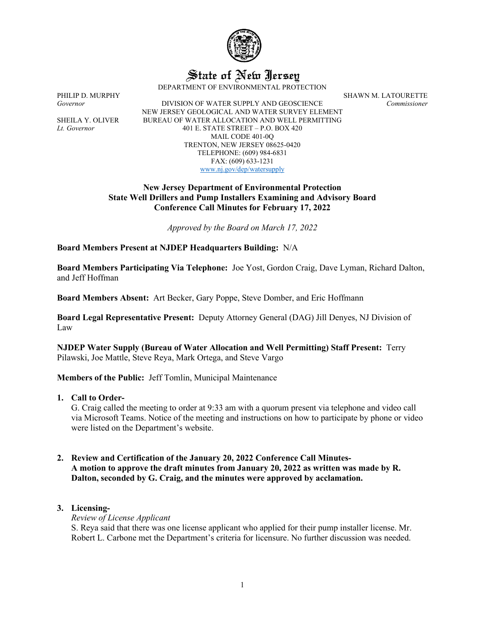

State of New Jersey

DEPARTMENT OF ENVIRONMENTAL PROTECTION

PHILIP D. MURPHY SHAWN M. LATOURETTE

*Governor* DIVISION OF WATER SUPPLY AND GEOSCIENCE *Commissioner* NEW JERSEY GEOLOGICAL AND WATER SURVEY ELEMENT SHEILA Y. OLIVER BUREAU OF WATER ALLOCATION AND WELL PERMITTING *Lt. Governor* 401 E. STATE STREET – P.O. BOX 420 MAIL CODE 401-0Q TRENTON, NEW JERSEY 08625-0420 TELEPHONE: (609) 984-6831 FAX: (609) 633-1231 [www.nj.gov/dep/watersupply](http://www.nj.gov/dep/watersupply)

## **New Jersey Department of Environmental Protection State Well Drillers and Pump Installers Examining and Advisory Board Conference Call Minutes for February 17, 2022**

*Approved by the Board on March 17, 2022*

**Board Members Present at NJDEP Headquarters Building:** N/A

**Board Members Participating Via Telephone:** Joe Yost, Gordon Craig, Dave Lyman, Richard Dalton, and Jeff Hoffman

**Board Members Absent:** Art Becker, Gary Poppe, Steve Domber, and Eric Hoffmann

**Board Legal Representative Present:** Deputy Attorney General (DAG) Jill Denyes, NJ Division of Law

**NJDEP Water Supply (Bureau of Water Allocation and Well Permitting) Staff Present:** Terry Pilawski, Joe Mattle, Steve Reya, Mark Ortega, and Steve Vargo

**Members of the Public:** Jeff Tomlin, Municipal Maintenance

**1. Call to Order-**

G. Craig called the meeting to order at 9:33 am with a quorum present via telephone and video call via Microsoft Teams. Notice of the meeting and instructions on how to participate by phone or video were listed on the Department's website.

**2. Review and Certification of the January 20, 2022 Conference Call Minutes-A motion to approve the draft minutes from January 20, 2022 as written was made by R. Dalton, seconded by G. Craig, and the minutes were approved by acclamation.** 

# **3. Licensing-**

*Review of License Applicant*

S. Reya said that there was one license applicant who applied for their pump installer license. Mr. Robert L. Carbone met the Department's criteria for licensure. No further discussion was needed.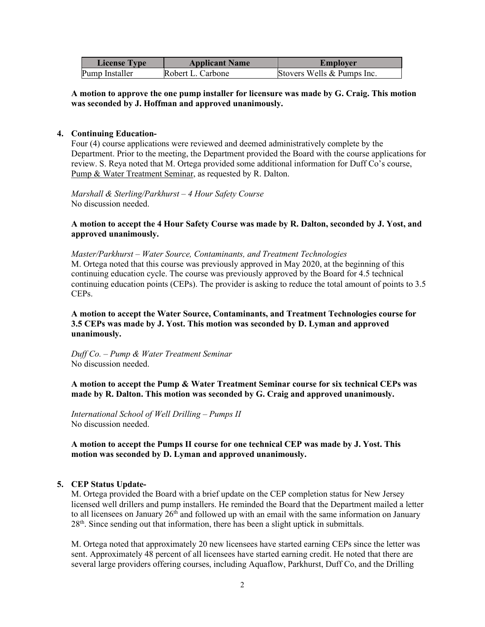| <b>License Type</b> | <b>Applicant Name</b> | Employer                   |
|---------------------|-----------------------|----------------------------|
| Pump Installer      | Robert L. Carbone     | Stovers Wells & Pumps Inc. |

**A motion to approve the one pump installer for licensure was made by G. Craig. This motion was seconded by J. Hoffman and approved unanimously.**

#### **4. Continuing Education-**

Four (4) course applications were reviewed and deemed administratively complete by the Department. Prior to the meeting, the Department provided the Board with the course applications for review. S. Reya noted that M. Ortega provided some additional information for Duff Co's course, Pump & Water Treatment Seminar, as requested by R. Dalton.

*Marshall & Sterling/Parkhurst – 4 Hour Safety Course*  No discussion needed.

## **A motion to accept the 4 Hour Safety Course was made by R. Dalton, seconded by J. Yost, and approved unanimously.**

*Master/Parkhurst – Water Source, Contaminants, and Treatment Technologies*  M. Ortega noted that this course was previously approved in May 2020, at the beginning of this continuing education cycle. The course was previously approved by the Board for 4.5 technical continuing education points (CEPs). The provider is asking to reduce the total amount of points to 3.5 CEPs.

## **A motion to accept the Water Source, Contaminants, and Treatment Technologies course for 3.5 CEPs was made by J. Yost. This motion was seconded by D. Lyman and approved unanimously.**

*Duff Co. – Pump & Water Treatment Seminar*  No discussion needed.

**A motion to accept the Pump & Water Treatment Seminar course for six technical CEPs was made by R. Dalton. This motion was seconded by G. Craig and approved unanimously.** 

*International School of Well Drilling – Pumps II* No discussion needed.

**A motion to accept the Pumps II course for one technical CEP was made by J. Yost. This motion was seconded by D. Lyman and approved unanimously.**

# **5. CEP Status Update-**

M. Ortega provided the Board with a brief update on the CEP completion status for New Jersey licensed well drillers and pump installers. He reminded the Board that the Department mailed a letter to all licensees on January  $26<sup>th</sup>$  and followed up with an email with the same information on January 28<sup>th</sup>. Since sending out that information, there has been a slight uptick in submittals.

M. Ortega noted that approximately 20 new licensees have started earning CEPs since the letter was sent. Approximately 48 percent of all licensees have started earning credit. He noted that there are several large providers offering courses, including Aquaflow, Parkhurst, Duff Co, and the Drilling